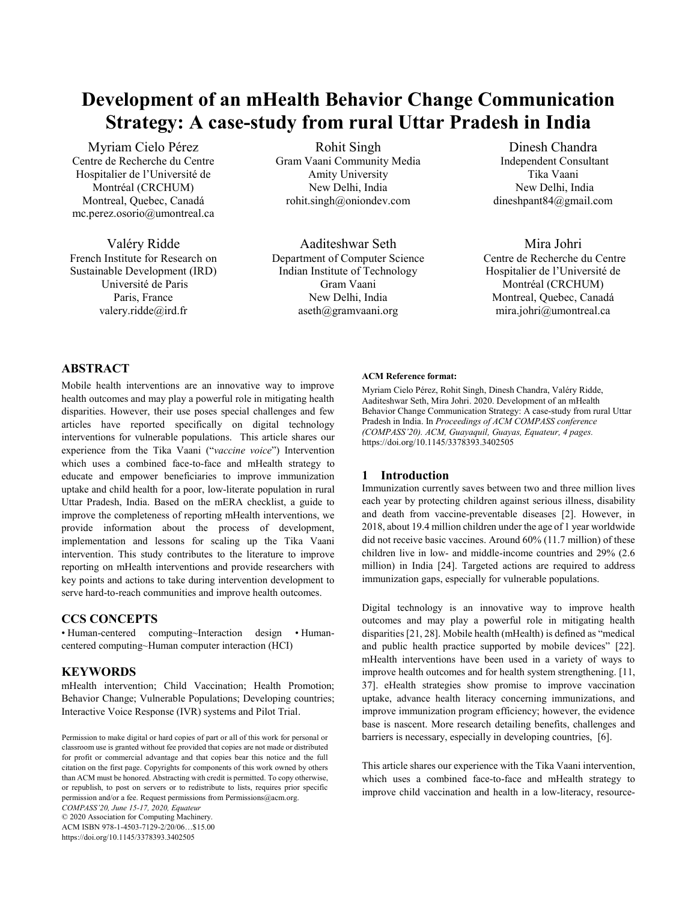# **Development of an mHealth Behavior Change Communication Strategy: A case-study from rural Uttar Pradesh in India**

Myriam Cielo Pérez Centre de Recherche du Centre Hospitalier de l'Université de Montréal (CRCHUM) Montreal, Quebec, Canadá [mc.perez.osorio@umontreal.ca](mailto:mc.perez.osorio@umontreal.ca)

Valéry Ridde French Institute for Research on Sustainable Development (IRD) Université de Paris Paris, France valery.ridde@ird.fr

Rohit Singh Gram Vaani Community Media Amity University New Delhi, India [rohit.singh@oniondev.com](mailto:rohit.singh@oniondev.com)

Aaditeshwar Seth Department of Computer Science Indian Institute of Technology Gram Vaani New Delhi, India [aseth@gramvaani.org](mailto:aseth@gramvaani.org)

Dinesh Chandra Independent Consultant Tika Vaani New Delhi, India dineshpant84@gmail.com

Mira Johri Centre de Recherche du Centre Hospitalier de l'Université de Montréal (CRCHUM) Montreal, Quebec, Canadá mira.johri@umontreal.ca

# **ABSTRACT**

Mobile health interventions are an innovative way to improve health outcomes and may play a powerful role in mitigating health disparities. However, their use poses special challenges and few articles have reported specifically on digital technology interventions for vulnerable populations. This article shares our experience from the Tika Vaani ("*vaccine voice*") Intervention which uses a combined face-to-face and mHealth strategy to educate and empower beneficiaries to improve immunization uptake and child health for a poor, low-literate population in rural Uttar Pradesh, India. Based on the mERA checklist, a guide to improve the completeness of reporting mHealth interventions, we provide information about the process of development, implementation and lessons for scaling up the Tika Vaani intervention. This study contributes to the literature to improve reporting on mHealth interventions and provide researchers with key points and actions to take during intervention development to serve hard-to-reach communities and improve health outcomes.

# **CCS CONCEPTS**

• Human-centered computing~Interaction design • Humancentered computing~Human computer interaction (HCI)

## **KEYWORDS**

mHealth intervention; Child Vaccination; Health Promotion; Behavior Change; Vulnerable Populations; Developing countries; Interactive Voice Response (IVR) systems and Pilot Trial.

Permission to make digital or hard copies of part or all of this work for personal or classroom use is granted without fee provided that copies are not made or distributed for profit or commercial advantage and that copies bear this notice and the full citation on the first page. Copyrights for components of this work owned by others than ACM must be honored. Abstracting with credit is permitted. To copy otherwise, or republish, to post on servers or to redistribute to lists, requires prior specific permission and/or a fee. Request permissions from [Permissions@acm.org.](mailto:Permissions@acm.org) *COMPASS'20, June 15-17, 2020, Equateur*

© 2020 Association for Computing Machinery. ACM ISBN 978-1-4503-7129-2/20/06…\$15.00

#### <https://doi.org/10.1145/3378393.3402505>

## **ACM Reference format:**

Myriam Cielo Pérez, Rohit Singh, Dinesh Chandra, Valéry Ridde, Aaditeshwar Seth, Mira Johri. 2020. Development of an mHealth Behavior Change Communication Strategy: A case-study from rural Uttar Pradesh in India. In *Proceedings of ACM COMPASS conference (COMPASS'20). ACM, Guayaquil, Guayas, Equateur, 4 pages.* <https://doi.org/10.1145/3378393.3402505>

## **1 Introduction**

Immunization currently saves between two and three million lives each year by protecting children against serious illness, disability and death from vaccine-preventable diseases [2]. However, in 2018, about 19.4 million children under the age of 1 year worldwide did not receive basic vaccines. Around 60% (11.7 million) of these children live in low- and middle-income countries and 29% (2.6 million) in India [24]. Targeted actions are required to address immunization gaps, especially for vulnerable populations.

Digital technology is an innovative way to improve health outcomes and may play a powerful role in mitigating health disparities [21, 28]. Mobile health (mHealth) is defined as "medical and public health practice supported by mobile devices" [22]. mHealth interventions have been used in a variety of ways to improve health outcomes and for health system strengthening. [11, 37]. eHealth strategies show promise to improve vaccination uptake, advance health literacy concerning immunizations, and improve immunization program efficiency; however, the evidence base is nascent. More research detailing benefits, challenges and barriers is necessary, especially in developing countries, [6].

This article shares our experience with the Tika Vaani intervention, which uses a combined face-to-face and mHealth strategy to improve child vaccination and health in a low-literacy, resource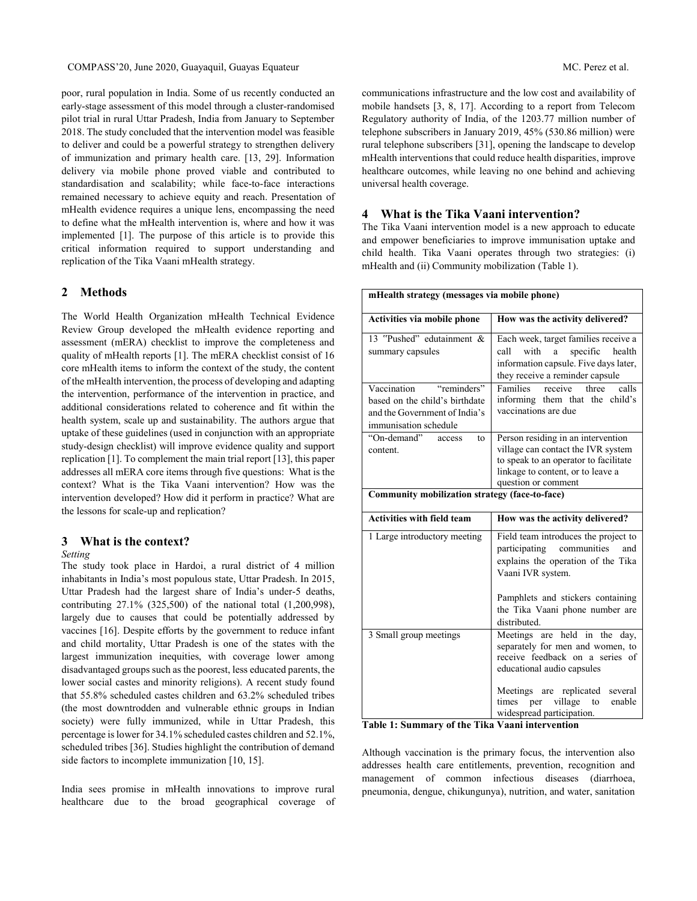poor, rural population in India. Some of us recently conducted an early-stage assessment of this model through a cluster-randomised pilot trial in rural Uttar Pradesh, India from January to September 2018. The study concluded that the intervention model was feasible to deliver and could be a powerful strategy to strengthen delivery of immunization and primary health care. [13, 29]. Information delivery via mobile phone proved viable and contributed to standardisation and scalability; while face-to-face interactions remained necessary to achieve equity and reach. Presentation of mHealth evidence requires a unique lens, encompassing the need to define what the mHealth intervention is, where and how it was implemented [1]. The purpose of this article is to provide this critical information required to support understanding and replication of the Tika Vaani mHealth strategy.

#### **2 Methods**

The World Health Organization mHealth Technical Evidence Review Group developed the mHealth evidence reporting and assessment (mERA) checklist to improve the completeness and quality of mHealth reports [1]. The mERA checklist consist of 16 core mHealth items to inform the context of the study, the content of the mHealth intervention, the process of developing and adapting the intervention, performance of the intervention in practice, and additional considerations related to coherence and fit within the health system, scale up and sustainability. The authors argue that uptake of these guidelines (used in conjunction with an appropriate study-design checklist) will improve evidence quality and support replication [1]. To complement the main trial report [13], this paper addresses all mERA core items through five questions: What is the context? What is the Tika Vaani intervention? How was the intervention developed? How did it perform in practice? What are the lessons for scale-up and replication?

## **3 What is the context?**

#### *Setting*

The study took place in Hardoi, a rural district of 4 million inhabitants in India's most populous state, Uttar Pradesh. In 2015, Uttar Pradesh had the largest share of India's under-5 deaths, contributing 27.1% (325,500) of the national total (1,200,998), largely due to causes that could be potentially addressed by vaccines [16]. Despite efforts by the government to reduce infant and child mortality, Uttar Pradesh is one of the states with the largest immunization inequities, with coverage lower among disadvantaged groups such as the poorest, less educated parents, the lower social castes and minority religions). A recent study found that 55.8% scheduled castes children and 63.2% scheduled tribes (the most downtrodden and vulnerable ethnic groups in Indian society) were fully immunized, while in Uttar Pradesh, this percentage is lower for 34.1% scheduled castes children and 52.1%, scheduled tribes [36]. Studies highlight the contribution of demand side factors to incomplete immunization [10, 15].

India sees promise in mHealth innovations to improve rural healthcare due to the broad geographical coverage of

communications infrastructure and the low cost and availability of mobile handsets [3, 8, 17]. According to a report from Telecom Regulatory authority of India, of the 1203.77 million number of telephone subscribers in January 2019, 45% (530.86 million) were rural telephone subscribers [31], opening the landscape to develop mHealth interventions that could reduce health disparities, improve healthcare outcomes, while leaving no one behind and achieving universal health coverage.

### **4 What is the Tika Vaani intervention?**

The Tika Vaani intervention model is a new approach to educate and empower beneficiaries to improve immunisation uptake and child health. Tika Vaani operates through two strategies: (i) mHealth and (ii) Community mobilization (Table 1).

| mHealth strategy (messages via mobile phone)                                                                           |                                                                                                                                                                                                             |
|------------------------------------------------------------------------------------------------------------------------|-------------------------------------------------------------------------------------------------------------------------------------------------------------------------------------------------------------|
| Activities via mobile phone                                                                                            | How was the activity delivered?                                                                                                                                                                             |
| 13 "Pushed" edutainment &<br>summary capsules                                                                          | Each week, target families receive a<br>call<br>with<br>specific<br>a<br>health<br>information capsule. Five days later,<br>they receive a reminder capsule                                                 |
| "reminders"<br>Vaccination<br>based on the child's birthdate<br>and the Government of India's<br>immunisation schedule | calls<br>$\overline{\text{Familes}}$<br>three<br>receive<br>informing them that the child's<br>vaccinations are due                                                                                         |
| "On-demand"<br>access<br>to<br>content.                                                                                | Person residing in an intervention<br>village can contact the IVR system<br>to speak to an operator to facilitate<br>linkage to content, or to leave a<br>question or comment                               |
| Community mobilization strategy (face-to-face)                                                                         |                                                                                                                                                                                                             |
| <b>Activities with field team</b>                                                                                      | How was the activity delivered?                                                                                                                                                                             |
| 1 Large introductory meeting                                                                                           | Field team introduces the project to<br>participating communities<br>and<br>explains the operation of the Tika<br>Vaani IVR system.<br>Pamphlets and stickers containing<br>the Tika Vaani phone number are |
|                                                                                                                        | distributed.                                                                                                                                                                                                |
|                                                                                                                        |                                                                                                                                                                                                             |
| 3 Small group meetings                                                                                                 | Meetings are held in the<br>day.<br>separately for men and women, to<br>receive feedback on a series of<br>educational audio capsules                                                                       |

**Table 1: Summary of the Tika Vaani intervention**

Although vaccination is the primary focus, the intervention also addresses health care entitlements, prevention, recognition and management of common infectious diseases (diarrhoea, pneumonia, dengue, chikungunya), nutrition, and water, sanitation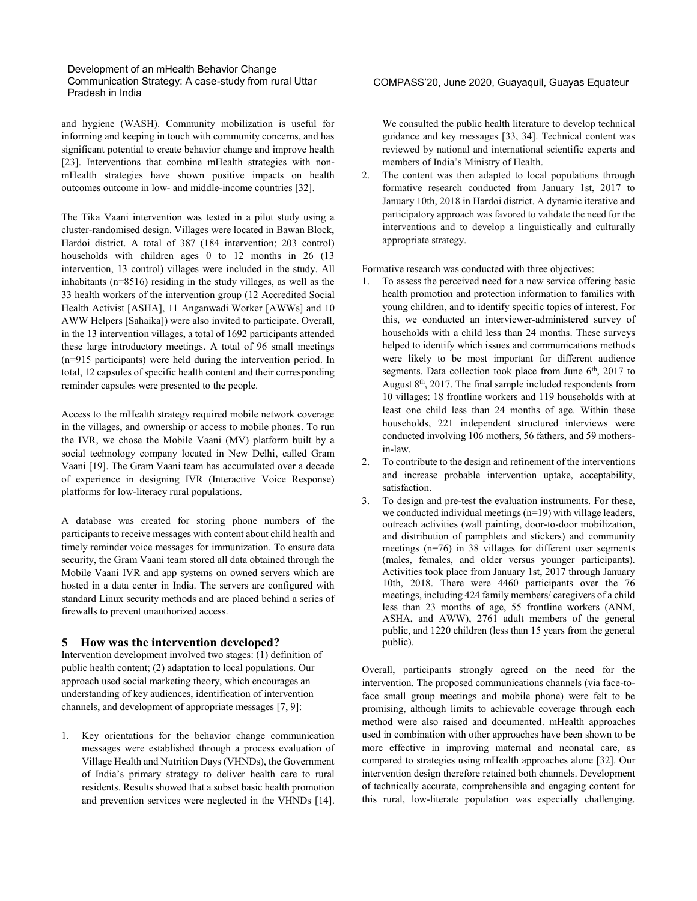### Development of an mHealth Behavior Change Communication Strategy: A case-study from rural Uttar Pradesh in India

and hygiene (WASH). Community mobilization is useful for informing and keeping in touch with community concerns, and has significant potential to create behavior change and improve health [23]. Interventions that combine mHealth strategies with nonmHealth strategies have shown positive impacts on health outcomes outcome in low- and middle-income countries [32].

The Tika Vaani intervention was tested in a pilot study using a cluster-randomised design. Villages were located in Bawan Block, Hardoi district. A total of 387 (184 intervention; 203 control) households with children ages 0 to 12 months in 26 (13) intervention, 13 control) villages were included in the study. All inhabitants (n=8516) residing in the study villages, as well as the 33 health workers of the intervention group (12 Accredited Social Health Activist [ASHA], 11 Anganwadi Worker [AWWs] and 10 AWW Helpers [Sahaika]) were also invited to participate. Overall, in the 13 intervention villages, a total of 1692 participants attended these large introductory meetings. A total of 96 small meetings (n=915 participants) were held during the intervention period. In total, 12 capsules of specific health content and their corresponding reminder capsules were presented to the people.

Access to the mHealth strategy required mobile network coverage in the villages, and ownership or access to mobile phones. To run the IVR, we chose the Mobile Vaani (MV) platform built by a social technology company located in New Delhi, called Gram Vaani [19]. The Gram Vaani team has accumulated over a decade of experience in designing IVR (Interactive Voice Response) platforms for low-literacy rural populations.

A database was created for storing phone numbers of the participants to receive messages with content about child health and timely reminder voice messages for immunization. To ensure data security, the Gram Vaani team stored all data obtained through the Mobile Vaani IVR and app systems on owned servers which are hosted in a data center in India. The servers are configured with standard Linux security methods and are placed behind a series of firewalls to prevent unauthorized access.

## **5 How was the intervention developed?**

Intervention development involved two stages: (1) definition of public health content; (2) adaptation to local populations. Our approach used social marketing theory, which encourages an understanding of key audiences, identification of intervention channels, and development of appropriate messages [7, 9]:

1. Key orientations for the behavior change communication messages were established through a process evaluation of Village Health and Nutrition Days (VHNDs), the Government of India's primary strategy to deliver health care to rural residents. Results showed that a subset basic health promotion and prevention services were neglected in the VHNDs [14].

## COMPASS'20, June 2020, Guayaquil, Guayas Equateur

We consulted the public health literature to develop technical guidance and key messages [33, 34]. Technical content was reviewed by national and international scientific experts and members of India's Ministry of Health.

2. The content was then adapted to local populations through formative research conducted from January 1st, 2017 to January 10th, 2018 in Hardoi district. A dynamic iterative and participatory approach was favored to validate the need for the interventions and to develop a linguistically and culturally appropriate strategy.

Formative research was conducted with three objectives:

- 1. To assess the perceived need for a new service offering basic health promotion and protection information to families with young children, and to identify specific topics of interest. For this, we conducted an interviewer-administered survey of households with a child less than 24 months. These surveys helped to identify which issues and communications methods were likely to be most important for different audience segments. Data collection took place from June  $6<sup>th</sup>$ , 2017 to August  $8<sup>th</sup>$ , 2017. The final sample included respondents from 10 villages: 18 frontline workers and 119 households with at least one child less than 24 months of age. Within these households, 221 independent structured interviews were conducted involving 106 mothers, 56 fathers, and 59 mothersin-law.
- 2. To contribute to the design and refinement of the interventions and increase probable intervention uptake, acceptability, satisfaction.
- 3. To design and pre-test the evaluation instruments. For these, we conducted individual meetings (n=19) with village leaders, outreach activities (wall painting, door-to-door mobilization, and distribution of pamphlets and stickers) and community meetings (n=76) in 38 villages for different user segments (males, females, and older versus younger participants). Activities took place from January 1st, 2017 through January 10th, 2018. There were 4460 participants over the 76 meetings, including 424 family members/ caregivers of a child less than 23 months of age, 55 frontline workers (ANM, ASHA, and AWW), 2761 adult members of the general public, and 1220 children (less than 15 years from the general public).

Overall, participants strongly agreed on the need for the intervention. The proposed communications channels (via face-toface small group meetings and mobile phone) were felt to be promising, although limits to achievable coverage through each method were also raised and documented. mHealth approaches used in combination with other approaches have been shown to be more effective in improving maternal and neonatal care, as compared to strategies using mHealth approaches alone [32]. Our intervention design therefore retained both channels. Development of technically accurate, comprehensible and engaging content for this rural, low-literate population was especially challenging.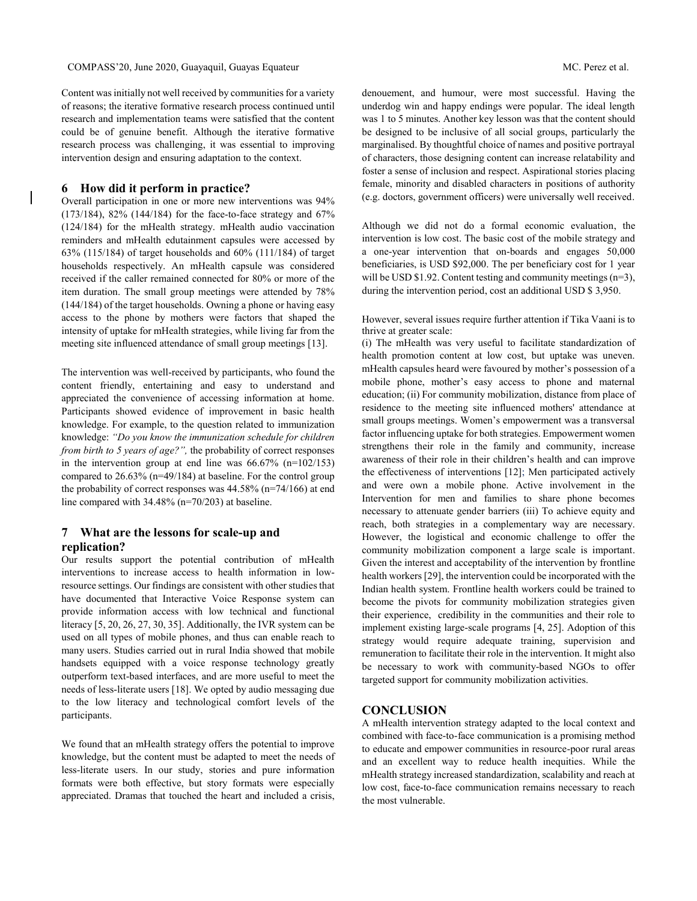Content was initially not well received by communities for a variety of reasons; the iterative formative research process continued until research and implementation teams were satisfied that the content could be of genuine benefit. Although the iterative formative research process was challenging, it was essential to improving intervention design and ensuring adaptation to the context.

## **6 How did it perform in practice?**

Overall participation in one or more new interventions was 94% (173/184), 82% (144/184) for the face-to-face strategy and 67% (124/184) for the mHealth strategy. mHealth audio vaccination reminders and mHealth edutainment capsules were accessed by 63% (115/184) of target households and 60% (111/184) of target households respectively. An mHealth capsule was considered received if the caller remained connected for 80% or more of the item duration. The small group meetings were attended by 78% (144/184) of the target households. Owning a phone or having easy access to the phone by mothers were factors that shaped the intensity of uptake for mHealth strategies, while living far from the meeting site influenced attendance of small group meetings [13].

The intervention was well-received by participants, who found the content friendly, entertaining and easy to understand and appreciated the convenience of accessing information at home. Participants showed evidence of improvement in basic health knowledge. For example, to the question related to immunization knowledge: *"Do you know the immunization schedule for children from birth to 5 years of age?",* the probability of correct responses in the intervention group at end line was  $66.67\%$  (n=102/153) compared to 26.63% (n=49/184) at baseline. For the control group the probability of correct responses was 44.58% (n=74/166) at end line compared with 34.48% (n=70/203) at baseline.

# **7 What are the lessons for scale-up and replication?**

Our results support the potential contribution of mHealth interventions to increase access to health information in lowresource settings. Our findings are consistent with other studies that have documented that Interactive Voice Response system can provide information access with low technical and functional literacy [5, 20, 26, 27, 30, 35]. Additionally, the IVR system can be used on all types of mobile phones, and thus can enable reach to many users. Studies carried out in rural India showed that mobile handsets equipped with a voice response technology greatly outperform text-based interfaces, and are more useful to meet the needs of less-literate users [18]. We opted by audio messaging due to the low literacy and technological comfort levels of the participants.

We found that an mHealth strategy offers the potential to improve knowledge, but the content must be adapted to meet the needs of less-literate users. In our study, stories and pure information formats were both effective, but story formats were especially appreciated. Dramas that touched the heart and included a crisis,

denouement, and humour, were most successful. Having the underdog win and happy endings were popular. The ideal length was 1 to 5 minutes. Another key lesson was that the content should be designed to be inclusive of all social groups, particularly the marginalised. By thoughtful choice of names and positive portrayal of characters, those designing content can increase relatability and foster a sense of inclusion and respect. Aspirational stories placing female, minority and disabled characters in positions of authority (e.g. doctors, government officers) were universally well received.

Although we did not do a formal economic evaluation, the intervention is low cost. The basic cost of the mobile strategy and a one-year intervention that on-boards and engages 50,000 beneficiaries, is USD \$92,000. The per beneficiary cost for 1 year will be USD \$1.92. Content testing and community meetings (n=3), during the intervention period, cost an additional USD \$ 3,950.

However, several issues require further attention if Tika Vaani is to thrive at greater scale:

(i) The mHealth was very useful to facilitate standardization of health promotion content at low cost, but uptake was uneven. mHealth capsules heard were favoured by mother's possession of a mobile phone, mother's easy access to phone and maternal education; (ii) For community mobilization, distance from place of residence to the meeting site influenced mothers' attendance at small groups meetings. Women's empowerment was a transversal factor influencing uptake for both strategies. Empowerment women strengthens their role in the family and community, increase awareness of their role in their children's health and can improve the effectiveness of interventions [12]; Men participated actively and were own a mobile phone. Active involvement in the Intervention for men and families to share phone becomes necessary to attenuate gender barriers (iii) To achieve equity and reach, both strategies in a complementary way are necessary. However, the logistical and economic challenge to offer the community mobilization component a large scale is important. Given the interest and acceptability of the intervention by frontline health workers [29], the intervention could be incorporated with the Indian health system. Frontline health workers could be trained to become the pivots for community mobilization strategies given their experience, credibility in the communities and their role to implement existing large-scale programs [4, 25]. Adoption of this strategy would require adequate training, supervision and remuneration to facilitate their role in the intervention. It might also be necessary to work with community-based NGOs to offer targeted support for community mobilization activities.

## **CONCLUSION**

A mHealth intervention strategy adapted to the local context and combined with face-to-face communication is a promising method to educate and empower communities in resource-poor rural areas and an excellent way to reduce health inequities. While the mHealth strategy increased standardization, scalability and reach at low cost, face-to-face communication remains necessary to reach the most vulnerable.